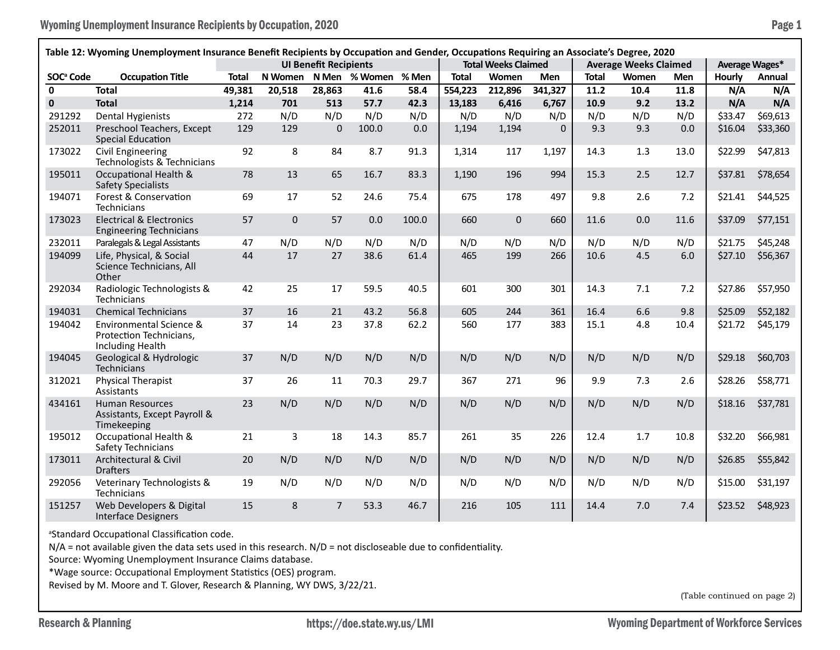| Table 12: Wyoming Unemployment Insurance Benefit Recipients by Occupation and Gender, Occupations Requiring an Associate's Degree, 2020 |                                                                                          |                              |              |                |               |                            |              |         |                              |              |       |                |         |          |
|-----------------------------------------------------------------------------------------------------------------------------------------|------------------------------------------------------------------------------------------|------------------------------|--------------|----------------|---------------|----------------------------|--------------|---------|------------------------------|--------------|-------|----------------|---------|----------|
|                                                                                                                                         |                                                                                          | <b>UI Benefit Recipients</b> |              |                |               | <b>Total Weeks Claimed</b> |              |         | <b>Average Weeks Claimed</b> |              |       | Average Wages* |         |          |
| <b>SOC<sup>ª</sup></b> Code                                                                                                             | <b>Occupation Title</b>                                                                  | <b>Total</b>                 | N Women      |                | N Men % Women | % Men                      | <b>Total</b> | Women   | <b>Men</b>                   | <b>Total</b> | Women | Men            | Hourly  | Annual   |
| $\mathbf{0}$                                                                                                                            | <b>Total</b>                                                                             | 49,381                       | 20,518       | 28,863         | 41.6          | 58.4                       | 554,223      | 212,896 | 341,327                      | 11.2         | 10.4  | 11.8           | N/A     | N/A      |
| $\mathbf 0$                                                                                                                             | <b>Total</b>                                                                             | 1,214                        | 701          | 513            | 57.7          | 42.3                       | 13,183       | 6,416   | 6,767                        | 10.9         | 9.2   | 13.2           | N/A     | N/A      |
| 291292                                                                                                                                  | <b>Dental Hygienists</b>                                                                 | 272                          | N/D          | N/D            | N/D           | N/D                        | N/D          | N/D     | N/D                          | N/D          | N/D   | N/D            | \$33.47 | \$69,613 |
| 252011                                                                                                                                  | Preschool Teachers, Except<br><b>Special Education</b>                                   | 129                          | 129          | 0              | 100.0         | 0.0                        | 1,194        | 1,194   | $\Omega$                     | 9.3          | 9.3   | 0.0            | \$16.04 | \$33,360 |
| 173022                                                                                                                                  | Civil Engineering<br>Technologists & Technicians                                         | 92                           | 8            | 84             | 8.7           | 91.3                       | 1,314        | 117     | 1,197                        | 14.3         | 1.3   | 13.0           | \$22.99 | \$47,813 |
| 195011                                                                                                                                  | Occupational Health &<br><b>Safety Specialists</b>                                       | 78                           | 13           | 65             | 16.7          | 83.3                       | 1,190        | 196     | 994                          | 15.3         | 2.5   | 12.7           | \$37.81 | \$78,654 |
| 194071                                                                                                                                  | Forest & Conservation<br>Technicians                                                     | 69                           | 17           | 52             | 24.6          | 75.4                       | 675          | 178     | 497                          | 9.8          | 2.6   | 7.2            | \$21.41 | \$44,525 |
| 173023                                                                                                                                  | <b>Electrical &amp; Electronics</b><br><b>Engineering Technicians</b>                    | 57                           | $\mathbf{0}$ | 57             | 0.0           | 100.0                      | 660          | 0       | 660                          | 11.6         | 0.0   | 11.6           | \$37.09 | \$77,151 |
| 232011                                                                                                                                  | Paralegals & Legal Assistants                                                            | 47                           | N/D          | N/D            | N/D           | N/D                        | N/D          | N/D     | N/D                          | N/D          | N/D   | N/D            | \$21.75 | \$45,248 |
| 194099                                                                                                                                  | Life, Physical, & Social<br>Science Technicians, All<br>Other                            | 44                           | 17           | 27             | 38.6          | 61.4                       | 465          | 199     | 266                          | 10.6         | 4.5   | 6.0            | \$27.10 | \$56,367 |
| 292034                                                                                                                                  | Radiologic Technologists &<br>Technicians                                                | 42                           | 25           | 17             | 59.5          | 40.5                       | 601          | 300     | 301                          | 14.3         | 7.1   | 7.2            | \$27.86 | \$57,950 |
| 194031                                                                                                                                  | <b>Chemical Technicians</b>                                                              | 37                           | 16           | 21             | 43.2          | 56.8                       | 605          | 244     | 361                          | 16.4         | 6.6   | 9.8            | \$25.09 | \$52,182 |
| 194042                                                                                                                                  | <b>Environmental Science &amp;</b><br>Protection Technicians,<br><b>Including Health</b> | 37                           | 14           | 23             | 37.8          | 62.2                       | 560          | 177     | 383                          | 15.1         | 4.8   | 10.4           | \$21.72 | \$45,179 |
| 194045                                                                                                                                  | Geological & Hydrologic<br>Technicians                                                   | 37                           | N/D          | N/D            | N/D           | N/D                        | N/D          | N/D     | N/D                          | N/D          | N/D   | N/D            | \$29.18 | \$60,703 |
| 312021                                                                                                                                  | <b>Physical Therapist</b><br>Assistants                                                  | 37                           | 26           | 11             | 70.3          | 29.7                       | 367          | 271     | 96                           | 9.9          | 7.3   | 2.6            | \$28.26 | \$58,771 |
| 434161                                                                                                                                  | <b>Human Resources</b><br>Assistants, Except Payroll &<br>Timekeeping                    | 23                           | N/D          | N/D            | N/D           | N/D                        | N/D          | N/D     | N/D                          | N/D          | N/D   | N/D            | \$18.16 | \$37,781 |
| 195012                                                                                                                                  | Occupational Health &<br>Safety Technicians                                              | 21                           | 3            | 18             | 14.3          | 85.7                       | 261          | 35      | 226                          | 12.4         | 1.7   | 10.8           | \$32.20 | \$66,981 |
| 173011                                                                                                                                  | Architectural & Civil<br><b>Drafters</b>                                                 | 20                           | N/D          | N/D            | N/D           | N/D                        | N/D          | N/D     | N/D                          | N/D          | N/D   | N/D            | \$26.85 | \$55,842 |
| 292056                                                                                                                                  | Veterinary Technologists &<br>Technicians                                                | 19                           | N/D          | N/D            | N/D           | N/D                        | N/D          | N/D     | N/D                          | N/D          | N/D   | N/D            | \$15.00 | \$31,197 |
| 151257                                                                                                                                  | Web Developers & Digital<br><b>Interface Designers</b>                                   | 15                           | 8            | $\overline{7}$ | 53.3          | 46.7                       | 216          | 105     | 111                          | 14.4         | 7.0   | 7.4            | \$23.52 | \$48,923 |

a Standard Occupational Classification code.

N/A = not available given the data sets used in this research. N/D = not discloseable due to confidentiality.

Source: Wyoming Unemployment Insurance Claims database.

\*Wage source: Occupational Employment Statistics (OES) program.

Revised by M. Moore and T. Glover, Research & Planning, WY DWS, 3/22/21.

(Table continued on page 2)